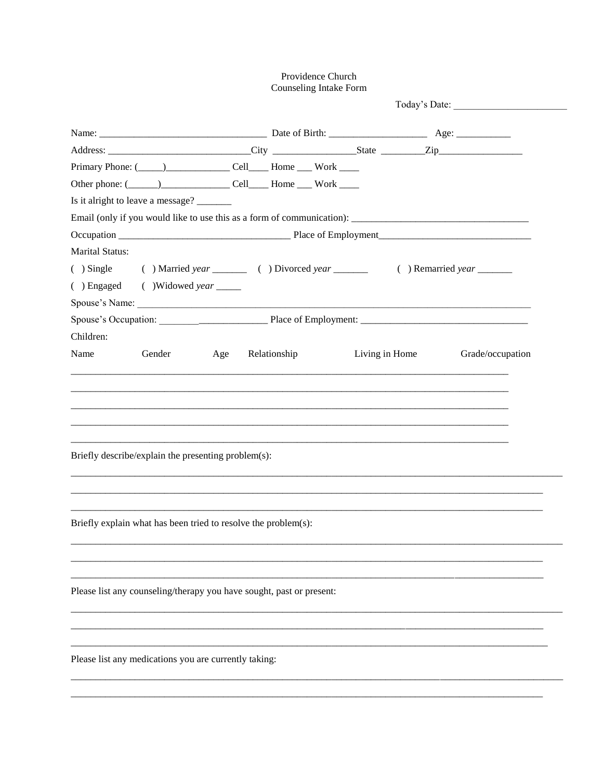## Providence Church Counseling Intake Form

| Other phone: (______)______________________Cell_______Home _____ Work ______                                          |                  |  |                |                  |  |
|-----------------------------------------------------------------------------------------------------------------------|------------------|--|----------------|------------------|--|
| Is it alright to leave a message? ________                                                                            |                  |  |                |                  |  |
| Email (only if you would like to use this as a form of communication):                                                |                  |  |                |                  |  |
| Occupation Place of Employment                                                                                        |                  |  |                |                  |  |
| <b>Marital Status:</b>                                                                                                |                  |  |                |                  |  |
| $( )$ Single<br>( ) Married year $\qquad \qquad$ ( ) Divorced year $\qquad \qquad$ ( ) Remarried year $\qquad \qquad$ |                  |  |                |                  |  |
| () Engaged () Widowed year ______                                                                                     |                  |  |                |                  |  |
|                                                                                                                       |                  |  |                |                  |  |
|                                                                                                                       |                  |  |                |                  |  |
| Children:                                                                                                             |                  |  |                |                  |  |
| Name<br>Gender                                                                                                        | Age Relationship |  | Living in Home | Grade/occupation |  |
| Briefly describe/explain the presenting problem(s):                                                                   |                  |  |                |                  |  |
| Briefly explain what has been tried to resolve the problem(s):                                                        |                  |  |                |                  |  |
| Please list any counseling/therapy you have sought, past or present:                                                  |                  |  |                |                  |  |
| Please list any medications you are currently taking:                                                                 |                  |  |                |                  |  |
|                                                                                                                       |                  |  |                |                  |  |